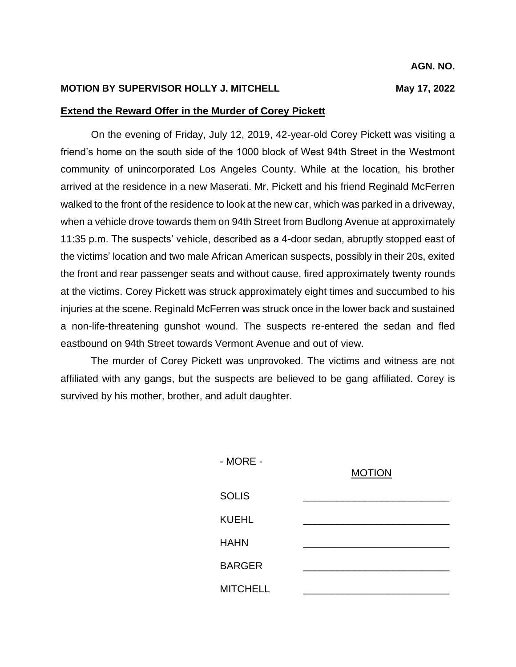## **MOTION BY SUPERVISOR HOLLY J. MITCHELL May 17, 2022**

## **Extend the Reward Offer in the Murder of Corey Pickett**

On the evening of Friday, July 12, 2019, 42-year-old Corey Pickett was visiting a friend's home on the south side of the 1000 block of West 94th Street in the Westmont community of unincorporated Los Angeles County. While at the location, his brother arrived at the residence in a new Maserati. Mr. Pickett and his friend Reginald McFerren walked to the front of the residence to look at the new car, which was parked in a driveway, when a vehicle drove towards them on 94th Street from Budlong Avenue at approximately 11:35 p.m. The suspects' vehicle, described as a 4-door sedan, abruptly stopped east of the victims' location and two male African American suspects, possibly in their 20s, exited the front and rear passenger seats and without cause, fired approximately twenty rounds at the victims. Corey Pickett was struck approximately eight times and succumbed to his injuries at the scene. Reginald McFerren was struck once in the lower back and sustained a non-life-threatening gunshot wound. The suspects re-entered the sedan and fled eastbound on 94th Street towards Vermont Avenue and out of view.

The murder of Corey Pickett was unprovoked. The victims and witness are not affiliated with any gangs, but the suspects are believed to be gang affiliated. Corey is survived by his mother, brother, and adult daughter.

| - MORE -        | <b>MOTION</b> |
|-----------------|---------------|
| <b>SOLIS</b>    |               |
| <b>KUEHL</b>    |               |
| <b>HAHN</b>     |               |
| <b>BARGER</b>   |               |
| <b>MITCHELL</b> |               |